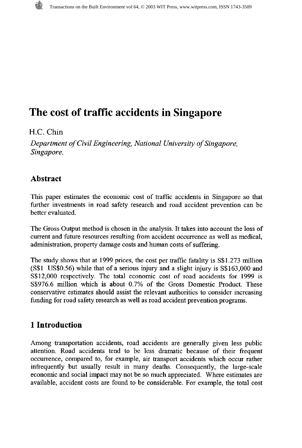# **The cost of traffic accidents in Singapore**

### *H.C.* Chin

*Department of Civil Engineering, National University of Singapore, Singapore.* 

# **Abstract**

This paper estimates the economic cost of traffic accidents in Singapore so that further investments in road safety research and road accident prevention can be better evaluated.

The Gross Output method is chosen in the analysis. It takes into account the loss of current and hture resources resulting from accident occurrence as well as medical, administration, property damage costs and human costs of suffering.

The study shows that at 1999 prices, the cost per traffic fatality is S\$1.273 million (S\$1 US\$0.56) while that of a serious injury and a slight injury is S\$163,000 and S\$12,000 respectively. The total economic cost of road accidents for 1999 is S\$976.6 million which is about 0.7% of the Gross Domestic Product. These conservative estimates should assist the relevant authorities to consider increasing funding for road safety research as well as road accident prevention programs.

# **l Introduction**

Among transportation accidents, road accidents are generally given less public attention. Road accidents tend to be less dramatic because of their frequent occurrence, compared to, for example, air transport accidents which occur rather infrequently but usually result in many deaths. Consequently, the large-scale economic and social impact may not be so much appreciated. Where estimates are available, accident costs are found to be considerable. For example, the total cost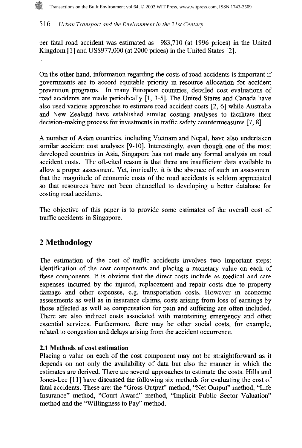per fatal road accident was estimated as 983,710 (at 1996 prices) in the United Kingdom [l] and US\$977,000 (at 2000 prices) in the United States [2].

On the other hand, information regarding the costs of road accidents is important if governments are to accord equitable priority in resource allocation for accident prevention programs. In many European countries, detailed cost evaluations of road accidents are made periodically [l, 3-51. The United States and Canada have also used various approaches to estimate road accident costs [2, 61 while Australia and New Zealand have established similar costing analyses to facilitate their decision-making process for investments in traffic safety countermeasures [7, 81.

**A** number of Asian countries, including Vietnam and Nepal, have also undertaken similar accident cost analyses [9-101. Interestingly, even though one of the most developed countries in Asia, Singapore has not made any formal analysis on road accident costs. The oft-cited reason is that there are insufficient data available to allow a proper assessment. Yet, ironically, it is the absence of such an assessment that the magnitude of economic costs of the road accidents is seldom appreciated so that resources have not been channelled to developing **a** better database for costing road accidents.

The objective of this paper is to provide some estimates of the overall cost of traffic accidents in Singapore.

# **2 Methodology**

The estimation of the cost of traffic accidents involves two important steps: identification of the cost components and placing a monetary value on each of these components. It is obvious that the direct costs include as medical and care expenses incurred by the injured, replacement and repair costs due to property damage and other expenses, e.g. transportation costs. However in economic assessments as well as in insurance claims, costs arising from loss of earnings by those affected as well as compensation for pain and suffering are often included. There are also indirect costs associated with maintaining emergency and other essential services. Furthermore, there may be other social costs, for example, related to congestion and delays arising from the accident occurrence.

### **2.1** Methods of cost estimation

Placing a value on each of the cost component may not be straightforward as it depends on not only the availability of data but also the manner in which the estimates are derived. There are several approaches to estimate the costs. Hills and Jones-Lee [l l] have discussed the following six methods for evaluating the cost of fatal accidents. These are: the "Gross Output" method, "Net Output" method, "Life Insurance" method, "Court Award" method, "Implicit Public Sector Valuation" method and the "Willingness to Pay" method.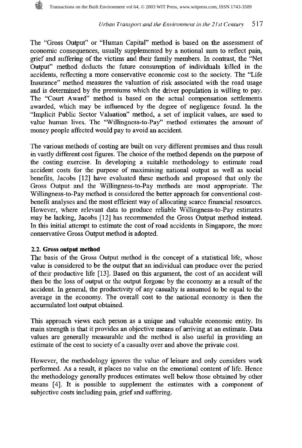

The "Gross Output" or "Human Capital" method is based on the assessment of economic consequences, usually supplemented by a notional sum to reflect pain, grief and suffering of the victims and their family members. In contrast, the "Net Output" method deducts the future consumption of individuals killed in the accidents, reflecting a more conservative economic cost to the society. The "Life Insurance" method measures the valuation of risk associated with the road usage and is determined by the premiums which the driver population is willing to pay. The "Court Award" method is based on the actual compensation settlements awarded, which may be influenced by the degree of negligence found. In the "Implicit Public Sector Valuation" method, a set of implicit values, are used to value human lives. The "Willingness-to-Pay" method estimates the amount of money people affected would pay to avoid an accident.

The various methods of costing are built on very different premises and thus result in vastly different cost figures. The choice of the method depends on the purpose of the costing exercise. In developing a suitable methodology to estimate road accident costs for the purpose of maximising national output as well as social benefits, Jacobs **[l21** have evaluated these methods and proposed that only the Gross Output and the Willingness-to-Pay methods are most appropriate. The Willingness-to-Pay method is considered the better approach for conventional costbenefit analyses and the most efficient way of allocating scarce financial resources. However, where relevant data to produce reliable Willingness-to-Pay estimates may be lacking, Jacobs [l21 has recommended the Gross Output method instead. In this initial attempt to estimate the cost of road accidents in Singapore, the more conservative Gross Output method is adopted.

### **2.2. Gross output method**

The basis of the Gross Output method is the concept of a statistical life, whose value is considered to be the output that an individual can produce over the period of their productive life [13]. Based on this argument, the cost of an accident will then be the loss of output or the output forgone by the economy as a result of the accident. In general, the productivity of any casualty is assumed to be equal to the average in the economy. The overall cost to the national economy is then the accumulated lost output obtained.

This approach views each person as a unique and valuable economic entity. Its main strength is that it provides an objective means of arriving at an estimate. Data values are generally measurable and the method is also useful in providing an estimate of the cost to society of a casualty over and above the private cost.

However, the methodology ignores the value of leisure and only considers work performed. As a result, it places no value on the emotional content of life. Hence the methodology generally produces estimates well below those obtained by other means [4]. It is possible to supplement the estimates with a component of subjective costs including pain, grief and suffering.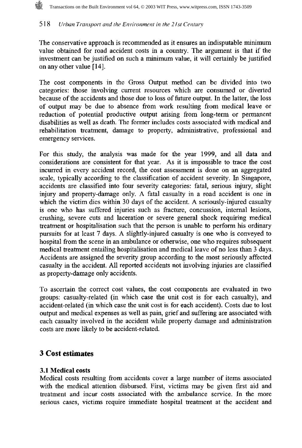### Transactions on the Built Environment vol 64, © 2003 WIT Press, www.witpress.com, ISSN 1743-3509

#### 518 Urban Transport and the Environment in the 21st Century

The conservative approach is recommended as it ensures an indisputable minimum value obtained for road accident costs in a country. The argument is that if the investment can be justified on such a minimum value, it will certainly be justified on any other value [14].

The cost components in the Gross Output method can be divided into two categories: those involving current resources which are consumed or diverted because of the accidents and those due to loss of future output. In the latter, the loss of output may be due to absence from work resulting from medical leave or reduction of potential productive output arising from long-term or permanent disabilities as well as death. The former includes costs associated with medical and rehabilitation treatment, damage to property, administrative, professional and emergency services.

For this study, the analysis was made for the year 1999, and all data and considerations are consistent for that year. As it is impossible to trace the cost incurred in every accident record, the cost assessment is done on an aggregated scale, typically according to the classification of accident severity. In Singapore, accidents are classified into four severity categories: fatal, serious injury, slight injury and property-damage only. A fatal casualty in a road accident is one in which the victim dies within 30 days of the accident. A seriously-injured casualty is one who has suffered injuries such as ffacture, concussion, internal lesions, crushing, severe cuts and laceration or severe general shock requiring medical treatment or hospitalisation such that the person is unable to perform his ordinary pursuits for at least 7 days. A slightly-injured casualty is one who is conveyed to hospital from the scene in an ambulance or otherwise, one who requires subsequent medical treatment entailing hospitalisation and medical leave of no less than **3** days. Accidents are assigned the severity group according to the most seriously affected casualty in the accident. All reported accidents not involving injuries are classified as property-damage only accidents.

To ascertain the correct cost values, the cost components are evaluated in two groups: casualty-related (in which case the unit cost is for each casualty), and accident-related (in which case the unit cost is for each accident). Costs due to lost output and medical expenses as well as pain, grief and suffering are associated with each casualty involved in the accident while property damage and administration costs are more likely to be accident-related.

# **3 Cost estimates**

### **3.1** Medical costs

Medical costs resulting from accidents cover a large number of items associated with the medical attention disbursed. First, victims may be given first aid and treatment and incur costs associated with the ambulance service. In the more serious cases, victims require immediate hospital treatment at the accident and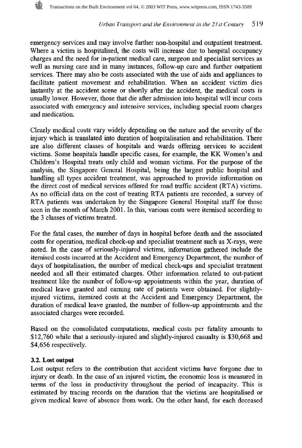emergency services and may involve further non-hospital and outpatient treatment. Where a victim is hospitalised, the costs will increase due to hospital occupancy charges and the need for in-patient medical care, surgeon and specialist services as well as nursing care and in many instances, follow-up care and further outpatient services. There may also be costs associated with the use of aids and appliances to facilitate patient movement and rehabilitation. When an accident victim dies instantly at the accident scene or shortly after the accident, the medical costs is usually lower. However, those that die after admission into hospital will incur costs associated with emergency and intensive services, including special room charges and medication.

Clearly medical costs vary widely depending on the nature and the severity of the injury which is translated into duration of hospitalisation and rehabilitation. There are also different classes of hospitals and wards offering services to accident victims. Some hospitals handle specific cases, for example, the KK Women's and Children's Hospital treats only child and woman victims. For the purpose of the analysis, the Singapore General Hospital, being the largest public hospital and handling all types accident treatment, was approached to provide information on the direct cost of medical services offered for road traffic accident (RTA) victims. As no official data on the cost of treating RTA patients are recorded, a survey of RTA patients was undertaken by the Singapore General Hospital staff for those seen in the month of March 2001. In this, various costs were itemised according to the 3 classes of victims treated.

For the fatal cases, the number of days in hospital before death and the associated costs for operation, medical check-up and specialist treatment such as X-rays, were noted. In the case of seriously-injured victims, information gathered include the itemised costs incurred at the Accident and Emergency Department, the number of days of hospitalisation, the number of medical check-ups and specialist treatment needed and all their estimated charges. Other information related to out-patient treatment llke the number of follow-up appointments within the year, duration of medical leave granted and earning rate of patients were obtained. For slightlyinjured victims, itemized costs at the Accident and Emergency Department, the duration of medical leave granted, the number of follow-up appointments and the associated charges were recorded.

Based on the consolidated computations, medical costs per fatality amounts to \$12,760 while that a seriously-injured and slightly-injured casualty is \$30,668 and \$4,656 respectively.

### **3.2. Lost output**

Lost output refers to the contribution that accident victims have forgone due to injury or death. In the case of an injured victim, the economic loss is measured in terms of the loss in productivity throughout the period of incapacity. This is estimated by tracing records on the duration that the victims are hospitalised or given medical leave of absence from work. On the other hand, for each deceased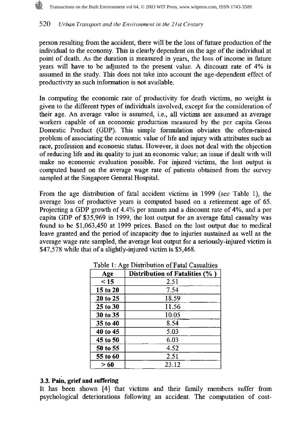person resulting from the accident, there will be the loss of future production of the individual to the economy. This is clearly dependent on the age of the individual at point of death. As the duration is measured in years, the loss of income in future years will have to be adjusted to the present value. **A** discount rate of 4% is assumed in the study. This does not take into account the age-dependent effect of productivity as such information is not available.

In computing the economic rate of productivity for death victims, no weight is given to the different types of individuals involved, except for the consideration of their age. An average value is assumed, i.e., all victims are assumed as average workers capable of an economic production measured by the per capita Gross Domestic Product (GDP). This simple formulation obviates the often-raised problem of associating the economic value of life and injury with attributes such as race, profession and economic status. However, it does not deal with the objection of reducing life and its quality to just an economic value; an issue if dealt with will make no economic evaluation possible. For injured victims, the lost output is computed based on the average wage rate of patients obtained from the survey sampled at the Singapore General Hospital.

From the age distribution of fatal accident victims in 1999 (see Table l), the average loss of productive years is computed based on a retirement age of **65.**  Projecting a GDP growth of 4.4% per annum and a discount rate of 4%, and a per capita GDP of \$35,969 in 1999, the lost output for an average fatal casualty was found to be \$1,063,450 at 1999 prices. Based on the lost output due to medical leave granted and the period of incapacity due to injuries sustained as well as the average wage rate sampled, the average lost output for a seriously-injured victim is \$47,578 while that of a slightly-injured victim is \$5,468.

| Age      | Distribution of Fatalities (%) |  |  |
|----------|--------------------------------|--|--|
| < 15     | 2.51                           |  |  |
| 15 to 20 | 7.54                           |  |  |
| 20 to 25 | 18.59                          |  |  |
| 25 to 30 | 11.56                          |  |  |
| 30 to 35 | 10.05                          |  |  |
| 35 to 40 | 8.54                           |  |  |
| 40 to 45 | 5.03                           |  |  |
| 45 to 50 | 6.03                           |  |  |
| 50 to 55 | 4.52                           |  |  |
| 55 to 60 | 2.51                           |  |  |
| >60      | 23.12                          |  |  |

Table 1: Age Distribution of Fatal Casualties

### **3.3. Pain, grief and suffering**

It has been shown [4] that victims and their family members suffer from psychological deteriorations following an accident. The computation of cost-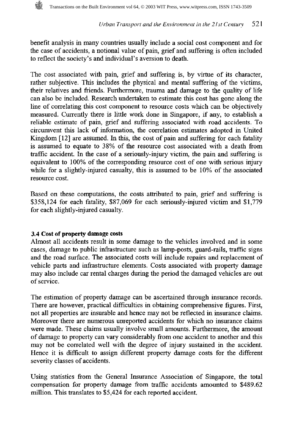benefit analysis in many countries usually include a social cost component and for the case of accidents, a notional value of pain, grief and suffering is often included to reflect the society's and individual's aversion to death.

The cost associated with pain, grief and suffering is, by virtue of its character, rather subjective. This includes the physical and mental suffering of the victims, their relatives and friends. Furthermore, trauma and damage to the quality of life can also be included. Research undertaken to estimate this cost has gone along the line of correlating this cost component to resource costs which can be objectively measured. Currently there is little work done in Singapore, if any, to establish a reliable estimate of pain, grief and suffering associated with road accidents. To circumvent this lack of information, the correlation estimates adopted in United Kingdom [12] are assumed. In this, the cost of pain and suffering for each fatality is assumed to equate to 38% of the resource cost associated with a death fiom traffic accident. In the case of a seriously-injury victim, the pain and suffering is equivalent to 100% of the corresponding resource cost of one with serious injury while for a slightly-injured casualty, this is assumed to be 10% of the associated resource cost.

Based on these computations, the costs attributed to pain, grief and suffering is \$358,124 for each fatality, \$87,069 for each seriously-injured victim and \$1,779 for each slightly-injured casualty.

### **3.4 Cost of property damage costs**

Almost all accidents result in some damage to the vehicles involved and in some cases, damage to public infrastructure such as lamp-posts, guard-rails, traffic signs and the road surface. The associated costs will include repairs and replacement of vehicle parts and infrastructure elements. Costs associated with property damage may also include car rental charges during the period the damaged vehicles are out of service.

The estimation of property damage can be ascertained through insurance records. There are however, practical difficulties in obtaining comprehensive figures. First, not all properties are insurable and hence may not be reflected in insurance claims. Moreover there are numerous unreported accidents for which no insurance claims were made. These claims usually involve small amounts. Furthermore, the amount of damage to property can vary considerably from one accident to another and this may not be correlated well with the degree of injury sustained in the accident. Hence it is difficult to assign different property damage costs for the different severity classes of accidents.

Using statistics from the General Insurance Association of Singapore, the total compensation for property damage from traffic accidents amounted to \$489.62 million. This translates to \$5,424 for each reported accident.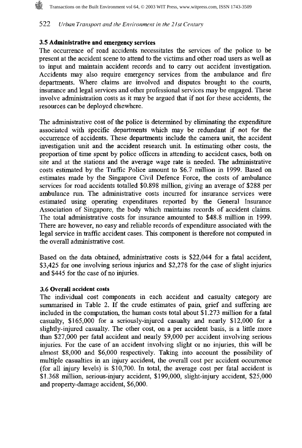# **3.5 Administrative and emergency services**

The occurrence of road accidents necessitates the services of the police to be present at the accident scene to attend to the victims and other road users as well as to input and maintain accident records and to carry out accident investigation. Accidents may also require emergency services from the ambulance and fire departments. Where claims are involved and disputes brought to the courts, insurance and legal services and other professional services may be engaged. These involve administration costs as it may be argued that if not for these accidents, the resources can be deployed elsewhere.

The administrative cost of the police is determined by eliminating the expenditure associated with specific departments which may be redundant if not for the occurrence of accidents. These departments include the camera unit, the accident investigation unit and the accident research unit. In estimating other costs, the proportion of time spent by police officers in attending to accident cases, both on site and at the stations and the average wage rate is needed. The administrative costs estimated by the Traffic Police amount to \$6.7 million in 1999. Based on estimates made by the Singapore Civil Defence Force, the costs of ambulance services for road accidents totalled \$0.898 million, giving an average of \$288 per ambulance run. The administrative costs incurred for insurance services were estimated using operating expenditures reported by the General Insurance Association of Singapore, the body which maintains records of accident claims. The total administrative costs for insurance amounted to \$48.8 million in 1999. There are however, no easy and reliable records of expenditure associated with the legal service in traffic accident cases. This component is therefore not computed in the overall administrative cost.

Based on the data obtained, administrative costs is \$22,044 for a fatal accident, \$3,425 for one involving serious injuries and \$2,278 for the case of slight injuries and \$445 for the case of no injuries.

### **3.6 Overall accident costs**

The individual cost components in each accident and casualty category are summarised in Table 2. If the crude estimates of pain, grief and suffering are included in the computation, the human costs total about \$1.273 million for a fatal casualty, \$165,000 for a seriously-injured casualty and nearly \$12,000 for a slightly-injured casualty. The other cost, on a per accident basis, is a little more than \$27,000 per fatal accident and nearly \$9,000 per accident involving serious injuries. For the case of an accident involving slight or no injuries, this will be almost \$8,000 and \$6,000 respectively. Taking into account the possibility of multiple casualties in an injury accident, the overall cost per accident occurrence (for all injury levels) is \$10,700. In total, the average cost per fatal accident is \$1.368 million, serious-injury accident, \$199,000, slight-injury accident, \$25,000 and property-damage accident, \$6,000.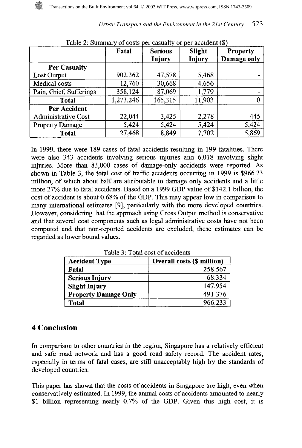523

|                            | Fatal     | <b>Serious</b> | Slight        | <b>Property</b> |
|----------------------------|-----------|----------------|---------------|-----------------|
|                            |           | Injury         | <b>Injury</b> | Damage only     |
| <b>Per Casualty</b>        |           |                |               |                 |
| Lost Output                | 902,362   | 47,578         | 5,468         |                 |
| Medical costs              | 12,760    | 30,668         | 4,656         |                 |
| Pain, Grief, Sufferings    | 358,124   | 87,069         | 1,779         |                 |
| Total                      | 1,273,246 | 165,315        | 11,903        |                 |
| Per Accident               |           |                |               |                 |
| <b>Administrative Cost</b> | 22,044    | 3,425          | 2,278         | 445             |
| <b>Property Damage</b>     | 5,424     | 5,424          | 5,424         | 5,424           |
| Total                      | 27,468    | 8,849          | 7,702         | 5,869           |

 $T<sub>ch1</sub>$  2: Summary of costs non cosmalty or per accident  $(\mathbb{C})$ 

In 1999, there were 189 cases of fatal accidents resulting in 199 fatalities. There were also 343 accidents involving serious injuries and 6,018 involving slight injuries. More than 83,000 cases of damage-only accidents were reported. As shown in Table 3, the total cost of traffic accidents occurring in 1999 is \$966.23 million, of which about half are attributable to damage only accidents and a little more 27% due to fatal accidents. Based on a 1999 GDP value of \$142.1 billion, the cost of accident is about 0.68% of the GDP. This may appear low in comparison to many international estimates [9], particularly with the more developed countries. However, considering that the approach using Gross Output method is conservative and that several cost components such as legal adrmnistrative costs have not been computed and that non-reported accidents are excluded, these estimates can be regarded as lower bound values.

| <b>Accident Type</b>        | <b>Overall costs (\$ million)</b> |
|-----------------------------|-----------------------------------|
| Fatal                       | 258.567                           |
| <b>Serious Injury</b>       | 68.334                            |
| <b>Slight Injury</b>        | 147.954                           |
| <b>Property Damage Only</b> | 491.376                           |
| <b>Total</b>                | 966.233                           |

Table **3:** Total cost of accidents

# **4 Conclusion**

In comparison to other countries in the region, Singapore has a relatively efficient and safe road network and has a good road safety record. The accident rates, especially in terms of fatal cases, are still unacceptably high by the standards of developed countries.

This paper has shown that the costs of accidents in Singapore are high, even when conservatively estimated. In 1999, the annual costs of accidents amounted to nearly \$1 billion representing nearly 0.7% of the GDP. Given this high cost, it is